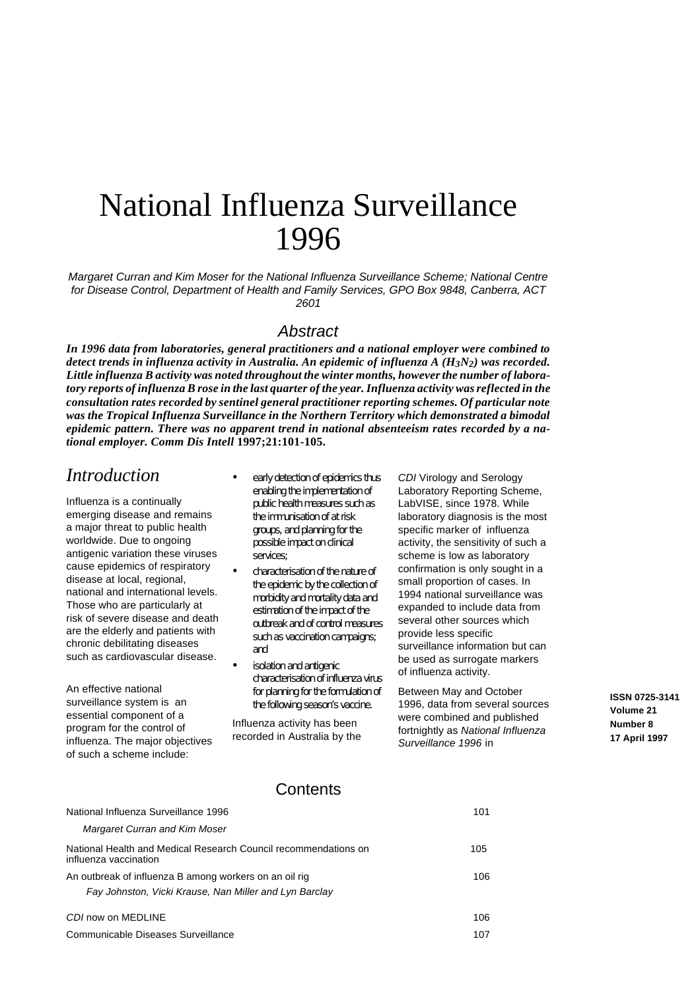# National Influenza Surveillance 1996

Margaret Curran and Kim Moser for the National Influenza Surveillance Scheme; National Centre for Disease Control, Department of Health and Family Services, GPO Box 9848, Canberra, ACT 2601

### **Abstract**

In 1996 data from laboratories, general practitioners and a national employer were combined to *de tect trends in in flu enza ac tiv ity in Aus tra lia. An epi demic of in flu enza A (H3N2) was re corded.* Little influenza B activity was noted throughout the winter months, however the number of labora*tory reports of influenza B rose in the last quarter of the year. Influenza activity was reflected in the con sul ta tion rates re corded by sen ti nel gen eral prac ti tio ner re port ing schemes. Of particu lar note* was the Tropical Influenza Surveillance in the Northern Territory which demonstrated a bimodal *epidemic pattern. There was no apparent trend in national absenteeism rates recorded by a national em ployer. Comm Dis In tell* **1997;21:101- 105.**

## *Introduction*

Influenza is a continually emerging disease and remains a major threat to public health worldwide. Due to ongoing antigenic variation these viruses cause epidemics of respiratory disease at local, regional, national and international levels. Those who are particularly at risk of severe disease and death are the elderly and patients with chronic debilitating diseases such as cardiovascular disease.

An effective national surveillance system is an essential component of a program for the control of influenza. The major objectives of such a scheme include:

- early detection of epidemics thus enabling the implementation of public health measures such as the immunisation of at risk groups, and planning for the possible impact on clinical services;
- characterisation of the nature of the epidemic by the collection of morbidity and mortality data and estimation of the impact of the outbreak and of control measures such as vaccination campaigns; and
- isolation and antigenic characterisation of influenza virus for planning for the formulation of the following season's vaccine.

Influenza activity has been recorded in Australia by the

CDI Virology and Serology Laboratory Reporting Scheme, LabVISE, since 1978. While laboratory diagnosis is the most specific marker of influenza activity, the sensitivity of such a scheme is low as laboratory confirmation is only sought in a small proportion of cases. In 1994 national surveillance was expanded to include data from several other sources which provide less specific surveillance information but can be used as surrogate markers of influenza activity.

Between May and October 1996, data from several sources were combined and published fortnightly as National Influenza Surveillance 1996 in

**ISSN 0725-3141 Volume 21 Number 8 17 April 1997**

### **Contents**

| <b>National Influenza Survelliance 1996</b>                                              | 1 U L |
|------------------------------------------------------------------------------------------|-------|
| Margaret Curran and Kim Moser                                                            |       |
| National Health and Medical Research Council recommendations on<br>influenza vaccination | 105   |
| An outbreak of influenza B among workers on an oil rig                                   | 106   |
| Fay Johnston, Vicki Krause, Nan Miller and Lyn Barclay                                   |       |
| CDI now on MEDLINE                                                                       | 106   |
| Communicable Diseases Surveillance                                                       | 107   |

National Influenza Surveillance 1996 101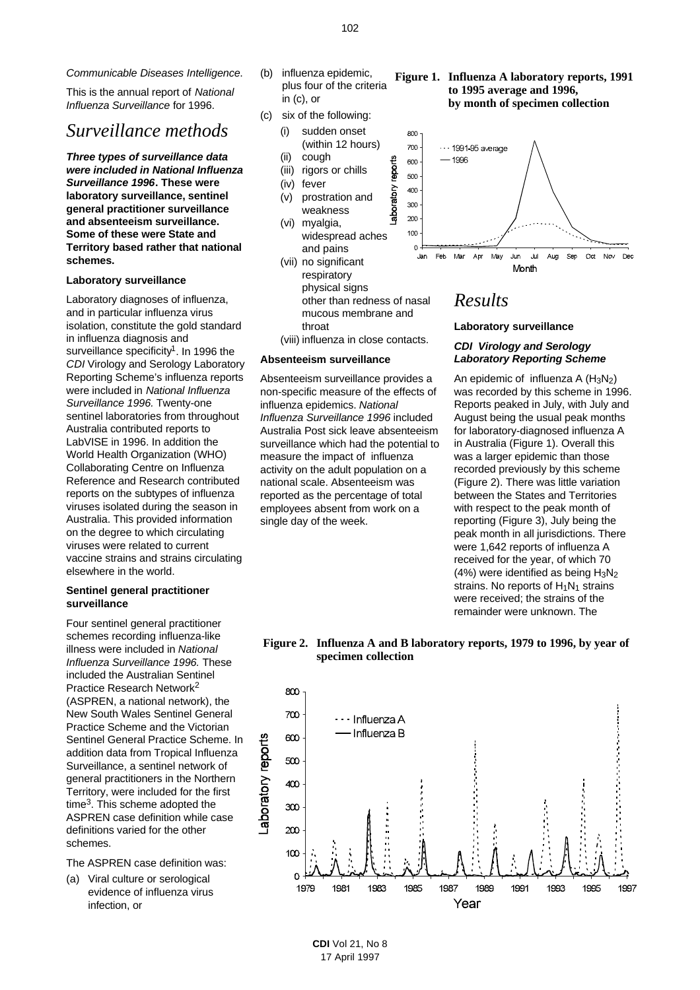Communicable Diseases Intelligence.

This is the annual report of National Influenza Surveillance for 1996.

## *Surveillance methods*

**Three types of surveillance data were included in National Influenza Surveillance 1996. These were laboratory surveillance, sentinel general practitioner surveillance and absenteeism surveillance. Some of these were State and Territory based rather that national schemes.** 

#### **Laboratory surveillance**

Laboratory diagnoses of influenza, and in particular influenza virus isolation, constitute the gold standard in influenza diagnosis and surveillance specificity<sup>1</sup>. In 1996 the CDI Virology and Serology Laboratory Reporting Scheme's influenza reports were included in National Influenza Surveillance 1996. Twenty-one sentinel laboratories from throughout Australia contributed reports to LabVISE in 1996. In addition the World Health Organization (WHO) Collaborating Centre on Influenza Reference and Research contributed reports on the subtypes of influenza viruses isolated during the season in Australia. This provided information on the degree to which circulating viruses were related to current vaccine strains and strains circulating elsewhere in the world.

#### **Sentinel general practitioner surveillance**

Four sentinel general practitioner schemes recording influenza-like illness were included in National Influenza Surveillance 1996. These included the Australian Sentinel Practice Research Network 2 (ASPREN, a national network), the New South Wales Sentinel General Practice Scheme and the Victorian Sentinel General Practice Scheme. In addition data from Tropical Influenza Surveillance, a sentinel network of general practitioners in the Northern Territory, were included for the first time<sup>3</sup>. This scheme adopted the ASPREN case definition while case definitions varied for the other schemes.

The ASPREN case definition was:

(a) Viral culture or serological evidence of influenza virus infection, or

- (b) influenza epidemic, plus four of the criteria in (c), or
- (c) six of the following:
	- (i) sudden onset (within 12 hours)
	- (ii) cough
	- (iii) rigors or chills

reports

aboratory

- (iv) fever
- (v) prostration and weakness
- (vi) myalgia, widespread aches and pains
- (vii) no significant respiratory physical signs other than redness of nasal mucous membrane and throat
- (viii) influenza in close contacts.

#### **Absenteeism surveillance**

Absenteeism surveillance provides a non-specific measure of the effects of influenza epidemics. National Influenza Surveillance 1996 included Australia Post sick leave absenteeism surveillance which had the potential to measure the impact of influenza activity on the adult population on a national scale. Absenteeism was reported as the percentage of total employees absent from work on a single day of the week.

#### Figure 1. Influenza A laboratory reports, 1991 **to 1995 average and 1996, by month of specimen collection**



## *Results*

#### **Laboratory surveillance**

#### **CDI Virology and Serology Laboratory Reporting Scheme**

An epidemic of influenza A  $(H_3N_2)$ was recorded by this scheme in 1996. Reports peaked in July, with July and August being the usual peak months for laboratory-diagnosed influenza A in Australia (Figure 1). Overall this was a larger epidemic than those recorded previously by this scheme (Figure 2). There was little variation between the States and Territories with respect to the peak month of reporting (Figure 3), July being the peak month in all jurisdictions. There were 1,642 reports of influenza A received for the year, of which 70 (4%) were identified as being  $H_3N_2$ strains. No reports of  $H_1N_1$  strains were received; the strains of the remainder were unknown. The

#### **Fig ure 2. Influenza A and B laboratory reports, 1979 to 1996, by year of specimen collection**

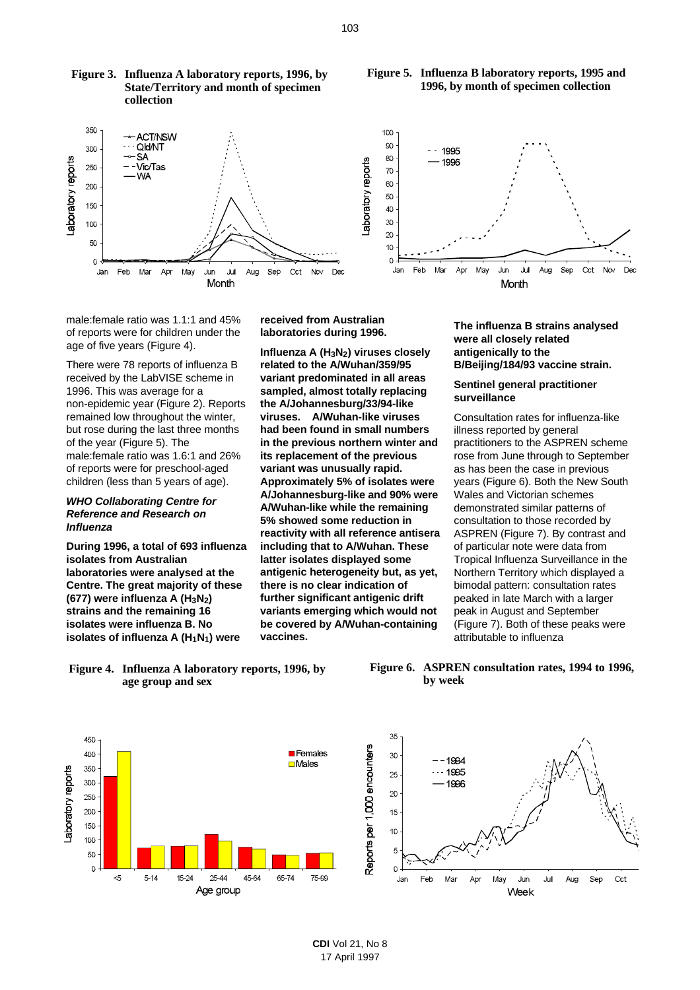







male:female ratio was 1.1:1 and 45% of reports were for children under the age of five years (Figure 4).

There were 78 reports of influenza B received by the LabVISE scheme in 1996. This was average for a non-epidemic year (Figure 2). Reports remained low throughout the winter, but rose during the last three months of the year (Figure 5). The male:female ratio was 1.6:1 and 26% of reports were for preschool-aged children (less than 5 years of age).

#### **WHO Collaborating Centre for Reference and Research on Influenza**

**During 1996, a total of 693 influenza isolates from Australian laboratories were analysed at the Centre. The great majority of these (677) were influenza A (H3N2) strains and the remaining 16 isolates were influenza B. No isolates of influenza A (H1N1) were**

**received from Australian laboratories during 1996.**

**Influenza A (H3N2) viruses closely related to the A/Wuhan/359/95 variant predominated in all areas sampled, almost totally replacing the A/Johannesburg/33/94-like viruses. A/Wuhan-like viruses had been found in small numbers in the previous northern winter and its replacement of the previous variant was unusually rapid. Approximately 5% of isolates were A/Johannesburg-like and 90% were A/Wuhan-like while the remaining 5% showed some reduction in reactivity with all reference antisera including that to A/Wuhan. These latter isolates displayed some antigenic heterogeneity but, as yet, there is no clear indication of further significant antigenic drift variants emerging which would not be covered by A/Wuhan-containing vaccines.**

**were all closely related antigenically to the B/Beijing/184/93 vaccine strain.** 

## **surveillance**

Consultation rates for influenza-like illness reported by general practitioners to the ASPREN scheme rose from June through to September as has been the case in previous years (Figure 6). Both the New South Wales and Victorian schemes demonstrated similar patterns of consultation to those recorded by ASPREN (Figure 7). By contrast and of particular note were data from Tropical Influenza Surveillance in the Northern Territory which displayed a bimodal pattern: consultation rates peaked in late March with a larger peak in August and September (Figure 7). Both of these peaks were attributable to influenza

Figure 4. Influenza A laboratory reports, 1996, by **age group and sex**







Month **The influenza B strains analysed**

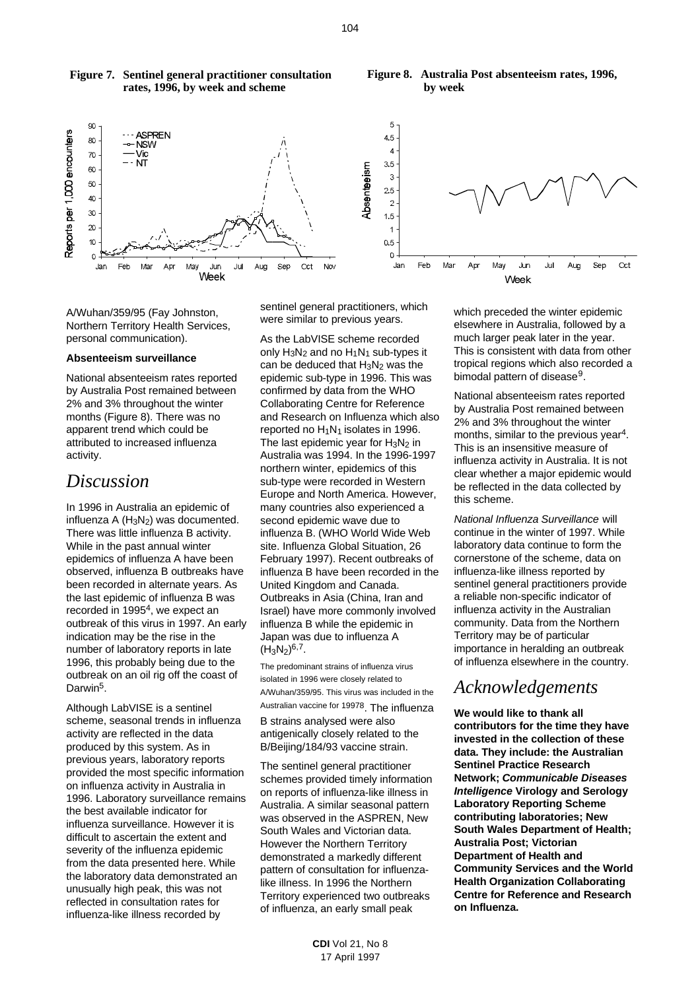

#### **Fig ure 7. Sentinel general practitioner consultation rates, 1996, by week and scheme**

#### **Fig ure 8. Australia Post absenteeism rates, 1996, by week**

A/Wuhan/359/95 (Fay Johnston, Northern Territory Health Services, personal communication).

#### **Absenteeism surveillance**

National absenteeism rates reported by Australia Post remained between 2% and 3% throughout the winter months (Figure 8). There was no apparent trend which could be attributed to increased influenza activity.

## *Discussion*

In 1996 in Australia an epidemic of influenza A  $(H_3N_2)$  was documented. There was little influenza B activity. While in the past annual winter epidemics of influenza A have been observed, influenza B outbreaks have been recorded in alternate years. As the last epidemic of influenza B was recorded in 1995<sup>4</sup>, we expect an outbreak of this virus in 1997. An early indication may be the rise in the number of laboratory reports in late 1996, this probably being due to the outbreak on an oil rig off the coast of Darwin<sup>5</sup>.

Although LabVISE is a sentinel scheme, seasonal trends in influenza activity are reflected in the data produced by this system. As in previous years, laboratory reports provided the most specific information on influenza activity in Australia in 1996. Laboratory surveillance remains the best available indicator for influenza surveillance. However it is difficult to ascertain the extent and severity of the influenza epidemic from the data presented here. While the laboratory data demonstrated an unusually high peak, this was not reflected in consultation rates for influenza-like illness recorded by

sentinel general practitioners, which were similar to previous years.

As the LabVISE scheme recorded only  $H_3N_2$  and no  $H_1N_1$  sub-types it can be deduced that  $H_3N_2$  was the epidemic sub-type in 1996. This was confirmed by data from the WHO Collaborating Centre for Reference and Research on Influenza which also reported no H1N1 isolates in 1996. The last epidemic year for  $H_3N_2$  in Australia was 1994. In the 1996-1997 northern winter, epidemics of this sub-type were recorded in Western Europe and North America. However, many countries also experienced a second epidemic wave due to influenza B. (WHO World Wide Web site. Influenza Global Situation, 26 February 1997). Recent outbreaks of influenza B have been recorded in the United Kingdom and Canada. Outbreaks in Asia (China, Iran and Israel) have more commonly involved influenza B while the epidemic in Japan was due to influenza A  $(H_3N_2)^{6,7}.$ 

The predominant strains of influenza virus isolated in 1996 were closely related to A/Wuhan/359/95. This virus was included in the Australian vaccine for 19978. The influenza B strains analysed were also antigenically closely related to the B/Beijing/184/93 vaccine strain.

The sentinel general practitioner schemes provided timely information on reports of influenza-like illness in Australia. A similar seasonal pattern was observed in the ASPREN, New South Wales and Victorian data. However the Northern Territory demonstrated a markedly different pattern of consultation for influenzalike illness. In 1996 the Northern Territory experienced two outbreaks of influenza, an early small peak

> **CDI** Vol 21, No 8 17 April 1997

which preceded the winter epidemic elsewhere in Australia, followed by a much larger peak later in the year. This is consistent with data from other tropical regions which also recorded a bimodal pattern of disease<sup>9</sup>.

National absenteeism rates reported by Australia Post remained between 2% and 3% throughout the winter months, similar to the previous year<sup>4</sup>. This is an insensitive measure of influenza activity in Australia. It is not clear whether a major epidemic would be reflected in the data collected by this scheme.

National Influenza Surveillance will continue in the winter of 1997. While laboratory data continue to form the cornerstone of the scheme, data on influenza-like illness reported by sentinel general practitioners provide a reliable non-specific indicator of influenza activity in the Australian community. Data from the Northern Territory may be of particular importance in heralding an outbreak of influenza elsewhere in the country.

## *Acknowledgements*

**We would like to thank all contributors for the time they have invested in the collection of these data. They include: the Australian Sentinel Practice Research Network; Communicable Diseases Intelligence Virology and Serology Laboratory Reporting Scheme contributing laboratories; New South Wales Department of Health; Australia Post; Victorian Department of Health and Community Services and the World Health Organization Collaborating Centre for Reference and Research on Influenza.**